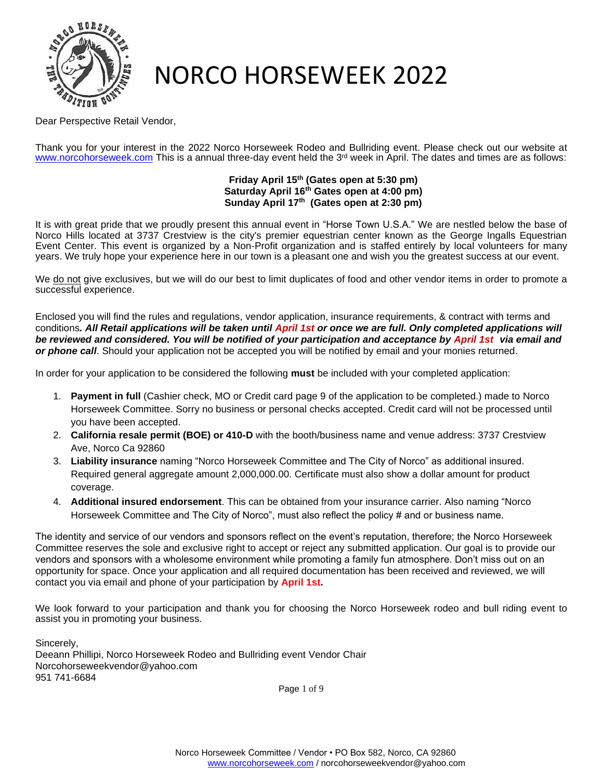

Dear Perspective Retail Vendor,

Thank you for your interest in the 2022 Norco Horseweek Rodeo and Bullriding event. Please check out our website at [www.norcohorseweek.com](http://www.norcohorseweek.com/) This is a annual three-day event held the 3<sup>rd</sup> week in April. The dates and times are as follows:

#### **Friday April 15th (Gates open at 5:30 pm) Saturday April 16th Gates open at 4:00 pm) Sunday April 17th (Gates open at 2:30 pm)**

It is with great pride that we proudly present this annual event in "Horse Town U.S.A." We are nestled below the base of Norco Hills located at 3737 Crestview is the city's premier equestrian center known as the George Ingalls Equestrian Event Center. This event is organized by a Non-Profit organization and is staffed entirely by local volunteers for many years. We truly hope your experience here in our town is a pleasant one and wish you the greatest success at our event.

We do not give exclusives, but we will do our best to limit duplicates of food and other vendor items in order to promote a successful experience.

Enclosed you will find the rules and regulations, vendor application, insurance requirements, & contract with terms and conditions*. All Retail applications will be taken until April 1st or once we are full. Only completed applications will be reviewed and considered. You will be notified of your participation and acceptance by April 1st via email and or phone call*. Should your application not be accepted you will be notified by email and your monies returned.

In order for your application to be considered the following **must** be included with your completed application:

- 1. **Payment in full** (Cashier check, MO or Credit card page 9 of the application to be completed.) made to Norco Horseweek Committee. Sorry no business or personal checks accepted. Credit card will not be processed until you have been accepted.
- 2. **California resale permit (BOE) or 410-D** with the booth/business name and venue address: 3737 Crestview Ave, Norco Ca 92860
- 3. **Liability insurance** naming "Norco Horseweek Committee and The City of Norco" as additional insured. Required general aggregate amount 2,000,000.00. Certificate must also show a dollar amount for product coverage.
- 4. **Additional insured endorsement**. This can be obtained from your insurance carrier. Also naming "Norco Horseweek Committee and The City of Norco", must also reflect the policy # and or business name.

The identity and service of our vendors and sponsors reflect on the event's reputation, therefore; the Norco Horseweek Committee reserves the sole and exclusive right to accept or reject any submitted application. Our goal is to provide our vendors and sponsors with a wholesome environment while promoting a family fun atmosphere. Don't miss out on an opportunity for space. Once your application and all required documentation has been received and reviewed, we will contact you via email and phone of your participation by **April 1st.**

We look forward to your participation and thank you for choosing the Norco Horseweek rodeo and bull riding event to assist you in promoting your business.

Sincerely, Deeann Phillipi, Norco Horseweek Rodeo and Bullriding event Vendor Chair Norcohorseweekvendor@yahoo.com 951 741-6684

Page 1 of 9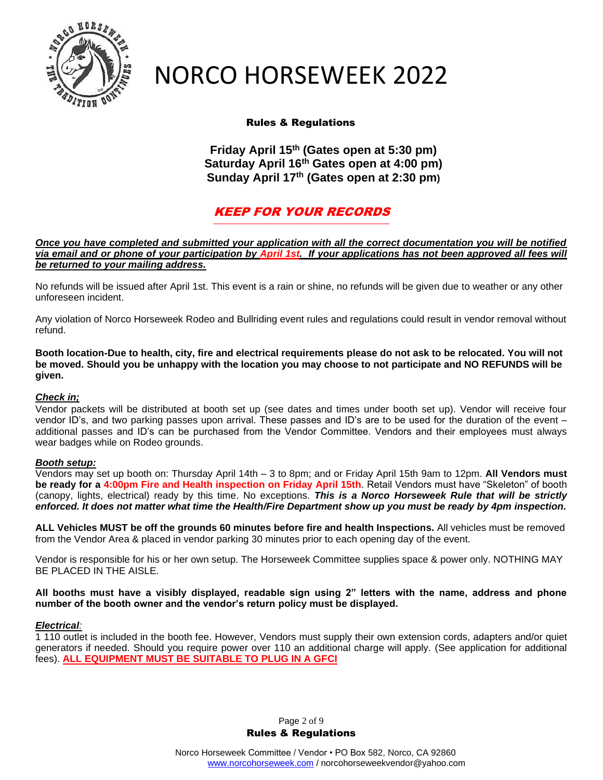

## Rules & Regulations

**Friday April 15th (Gates open at 5:30 pm) Saturday April 16th Gates open at 4:00 pm) Sunday April 17th (Gates open at 2:30 pm)**

## KEEP FOR YOUR RECORDS

*Once you have completed and submitted your application with all the correct documentation you will be notified via email and or phone of your participation by April 1st. If your applications has not been approved all fees will be returned to your mailing address.*

No refunds will be issued after April 1st. This event is a rain or shine, no refunds will be given due to weather or any other unforeseen incident.

Any violation of Norco Horseweek Rodeo and Bullriding event rules and regulations could result in vendor removal without refund.

**Booth location-Due to health, city, fire and electrical requirements please do not ask to be relocated. You will not be moved. Should you be unhappy with the location you may choose to not participate and NO REFUNDS will be given.** 

#### *Check in;*

Vendor packets will be distributed at booth set up (see dates and times under booth set up). Vendor will receive four vendor ID's, and two parking passes upon arrival. These passes and ID's are to be used for the duration of the event – additional passes and ID's can be purchased from the Vendor Committee. Vendors and their employees must always wear badges while on Rodeo grounds.

#### *Booth setup:*

Vendors may set up booth on: Thursday April 14th – 3 to 8pm; and or Friday April 15th 9am to 12pm. **All Vendors must be ready for a 4:00pm Fire and Health inspection on Friday April 15th**. Retail Vendors must have "Skeleton" of booth (canopy, lights, electrical) ready by this time. No exceptions. *This is a Norco Horseweek Rule that will be strictly enforced. It does not matter what time the Health/Fire Department show up you must be ready by 4pm inspection.*

**ALL Vehicles MUST be off the grounds 60 minutes before fire and health Inspections.** All vehicles must be removed from the Vendor Area & placed in vendor parking 30 minutes prior to each opening day of the event.

Vendor is responsible for his or her own setup. The Horseweek Committee supplies space & power only. NOTHING MAY BE PLACED IN THE AISLE.

#### **All booths must have a visibly displayed, readable sign using 2" letters with the name, address and phone number of the booth owner and the vendor's return policy must be displayed.**

#### *Electrical:*

1 110 outlet is included in the booth fee. However, Vendors must supply their own extension cords, adapters and/or quiet generators if needed. Should you require power over 110 an additional charge will apply. (See application for additional fees). **ALL EQUIPMENT MUST BE SUITABLE TO PLUG IN A GFCI**

> Page 2 of 9 Rules & Regulations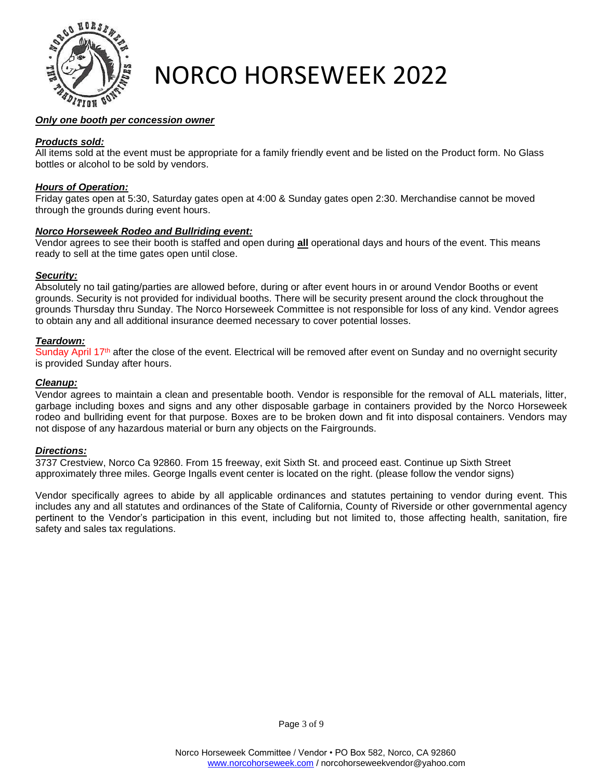

### *Only one booth per concession owner*

### *Products sold:*

All items sold at the event must be appropriate for a family friendly event and be listed on the Product form. No Glass bottles or alcohol to be sold by vendors.

### *Hours of Operation:*

Friday gates open at 5:30, Saturday gates open at 4:00 & Sunday gates open 2:30. Merchandise cannot be moved through the grounds during event hours.

#### *Norco Horseweek Rodeo and Bullriding event:*

Vendor agrees to see their booth is staffed and open during **all** operational days and hours of the event. This means ready to sell at the time gates open until close.

### *Security:*

Absolutely no tail gating/parties are allowed before, during or after event hours in or around Vendor Booths or event grounds. Security is not provided for individual booths. There will be security present around the clock throughout the grounds Thursday thru Sunday. The Norco Horseweek Committee is not responsible for loss of any kind. Vendor agrees to obtain any and all additional insurance deemed necessary to cover potential losses.

#### *Teardown:*

Sunday April 17<sup>th</sup> after the close of the event. Electrical will be removed after event on Sunday and no overnight security is provided Sunday after hours.

#### *Cleanup:*

Vendor agrees to maintain a clean and presentable booth. Vendor is responsible for the removal of ALL materials, litter, garbage including boxes and signs and any other disposable garbage in containers provided by the Norco Horseweek rodeo and bullriding event for that purpose. Boxes are to be broken down and fit into disposal containers. Vendors may not dispose of any hazardous material or burn any objects on the Fairgrounds.

#### *Directions:*

3737 Crestview, Norco Ca 92860. From 15 freeway, exit Sixth St. and proceed east. Continue up Sixth Street approximately three miles. George Ingalls event center is located on the right. (please follow the vendor signs)

Vendor specifically agrees to abide by all applicable ordinances and statutes pertaining to vendor during event. This includes any and all statutes and ordinances of the State of California, County of Riverside or other governmental agency pertinent to the Vendor's participation in this event, including but not limited to, those affecting health, sanitation, fire safety and sales tax regulations.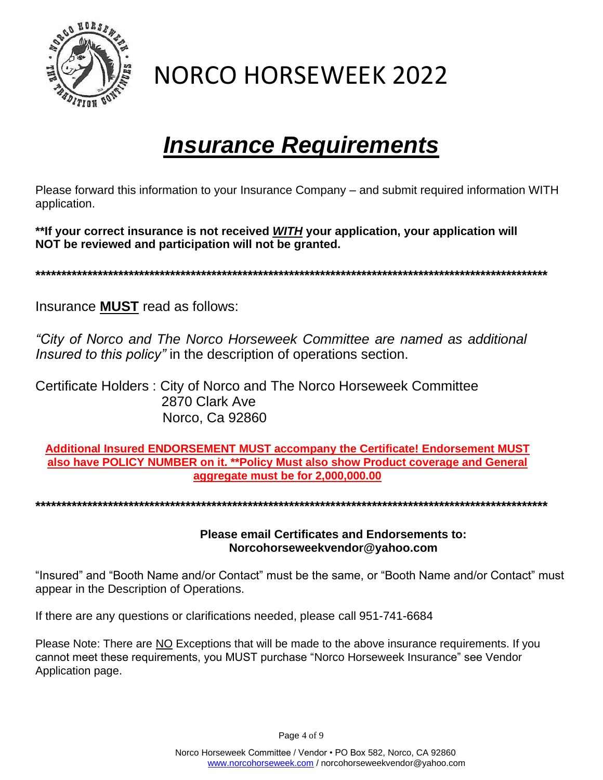

## *Insurance Requirements*

Please forward this information to your Insurance Company – and submit required information WITH application.

**\*\*If your correct insurance is not received** *WITH* **your application, your application will NOT be reviewed and participation will not be granted.**

**\*\*\*\*\*\*\*\*\*\*\*\*\*\*\*\*\*\*\*\*\*\*\*\*\*\*\*\*\*\*\*\*\*\*\*\*\*\*\*\*\*\*\*\*\*\*\*\*\*\*\*\*\*\*\*\*\*\*\*\*\*\*\*\*\*\*\*\*\*\*\*\*\*\*\*\*\*\*\*\*\*\*\*\*\*\*\*\*\*\*\*\*\*\*\*\*\*\*\***

Insurance **MUST** read as follows:

*"City of Norco and The Norco Horseweek Committee are named as additional Insured to this policy"* in the description of operations section.

Certificate Holders : City of Norco and The Norco Horseweek Committee 2870 Clark Ave Norco, Ca 92860

**Additional Insured ENDORSEMENT MUST accompany the Certificate! Endorsement MUST also have POLICY NUMBER on it. \*\*Policy Must also show Product coverage and General aggregate must be for 2,000,000.00**

**\*\*\*\*\*\*\*\*\*\*\*\*\*\*\*\*\*\*\*\*\*\*\*\*\*\*\*\*\*\*\*\*\*\*\*\*\*\*\*\*\*\*\*\*\*\*\*\*\*\*\*\*\*\*\*\*\*\*\*\*\*\*\*\*\*\*\*\*\*\*\*\*\*\*\*\*\*\*\*\*\*\*\*\*\*\*\*\*\*\*\*\*\*\*\*\*\*\*\***

**Please email Certificates and Endorsements to: Norcohorseweekvendor@yahoo.com**

"Insured" and "Booth Name and/or Contact" must be the same, or "Booth Name and/or Contact" must appear in the Description of Operations.

If there are any questions or clarifications needed, please call 951-741-6684

Please Note: There are NO Exceptions that will be made to the above insurance requirements. If you cannot meet these requirements, you MUST purchase "Norco Horseweek Insurance" see Vendor Application page.

Page 4 of 9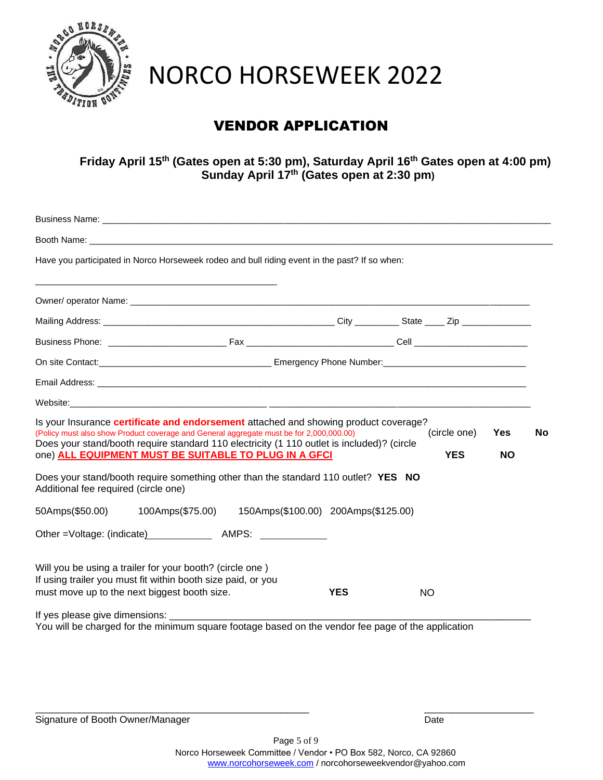

## VENDOR APPLICATION

**Friday April 15th (Gates open at 5:30 pm), Saturday April 16th Gates open at 4:00 pm) Sunday April 17th (Gates open at 2:30 pm)**

|                                      | Booth Name: Web and the contract of the contract of the contract of the contract of the contract of the contract of the contract of the contract of the contract of the contract of the contract of the contract of the contra                                                |            |           |              |            |     |
|--------------------------------------|-------------------------------------------------------------------------------------------------------------------------------------------------------------------------------------------------------------------------------------------------------------------------------|------------|-----------|--------------|------------|-----|
|                                      | Have you participated in Norco Horseweek rodeo and bull riding event in the past? If so when:                                                                                                                                                                                 |            |           |              |            |     |
|                                      |                                                                                                                                                                                                                                                                               |            |           |              |            |     |
|                                      |                                                                                                                                                                                                                                                                               |            |           |              |            |     |
|                                      |                                                                                                                                                                                                                                                                               |            |           |              |            |     |
|                                      | On site Contact: <u>Contact: Contact: Contact: Contact Contact Contact Contact Contact:</u> Contact: Contact: Contact:                                                                                                                                                        |            |           |              |            |     |
|                                      |                                                                                                                                                                                                                                                                               |            |           |              |            |     |
|                                      |                                                                                                                                                                                                                                                                               |            |           |              |            |     |
|                                      | Is your Insurance certificate and endorsement attached and showing product coverage?<br>(Policy must also show Product coverage and General aggregate must be for 2,000,000.00)<br>Does your stand/booth require standard 110 electricity (1 110 outlet is included)? (circle |            |           | (circle one) | <b>Yes</b> | No. |
| Additional fee required (circle one) | one) ALL EQUIPMENT MUST BE SUITABLE TO PLUG IN A GFCI<br>Does your stand/booth require something other than the standard 110 outlet? YES NO                                                                                                                                   |            |           | <b>YES</b>   | <b>NO</b>  |     |
| 50Amps(\$50.00)                      |                                                                                                                                                                                                                                                                               |            |           |              |            |     |
|                                      | Other = Voltage: (indicate) AMPS:                                                                                                                                                                                                                                             |            |           |              |            |     |
|                                      | Will you be using a trailer for your booth? (circle one)<br>If using trailer you must fit within booth size paid, or you<br>must move up to the next biggest booth size.                                                                                                      | <b>YES</b> | <b>NO</b> |              |            |     |
|                                      | If yes please give dimensions: ___________<br>You will be charged for the minimum square footage based on the vendor fee page of the application                                                                                                                              |            |           |              |            |     |

\_\_\_\_\_\_\_\_\_\_\_\_\_\_\_\_\_\_\_\_\_\_\_\_\_\_\_\_\_\_\_\_\_\_\_\_\_\_\_\_\_\_\_\_\_\_\_\_\_\_ \_\_\_\_\_\_\_\_\_\_\_\_\_\_\_\_\_\_\_\_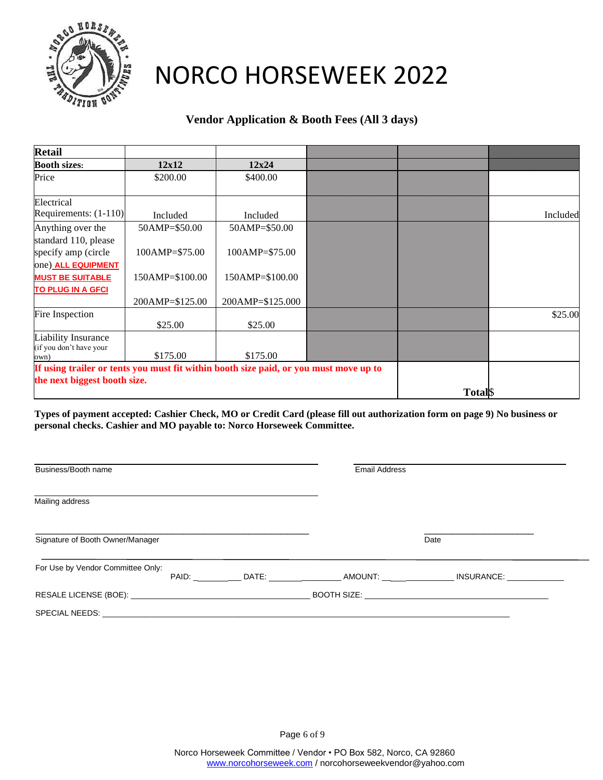

## **Vendor Application & Booth Fees (All 3 days)**

| <b>Retail</b>                                                                         |                   |                  |              |          |
|---------------------------------------------------------------------------------------|-------------------|------------------|--------------|----------|
| <b>Booth sizes:</b>                                                                   | 12x12             | 12x24            |              |          |
| Price                                                                                 | \$200.00          | \$400.00         |              |          |
|                                                                                       |                   |                  |              |          |
| Electrical                                                                            |                   |                  |              |          |
| Requirements: $(1-110)$                                                               | Included          | Included         |              | Included |
| Anything over the                                                                     | 50AMP=\$50.00     | 50AMP=\$50.00    |              |          |
| standard 110, please                                                                  |                   |                  |              |          |
| specify amp (circle                                                                   | $100AMP = $75.00$ | 100AMP=\$75.00   |              |          |
| one) ALL EQUIPMENT                                                                    |                   |                  |              |          |
| <b>MUST BE SUITABLE</b>                                                               | 150AMP=\$100.00   | 150AMP=\$100.00  |              |          |
| <b>TO PLUG IN A GFCI</b>                                                              |                   |                  |              |          |
|                                                                                       | 200AMP=\$125.00   | 200AMP=\$125.000 |              |          |
| Fire Inspection                                                                       |                   |                  |              | \$25.00  |
|                                                                                       | \$25.00           | \$25.00          |              |          |
| <b>Liability Insurance</b>                                                            |                   |                  |              |          |
| (if you don't have your                                                               | \$175.00          | \$175.00         |              |          |
| own)                                                                                  |                   |                  |              |          |
| If using trailer or tents you must fit within booth size paid, or you must move up to |                   |                  |              |          |
| the next biggest booth size.                                                          |                   |                  |              |          |
|                                                                                       |                   |                  | <b>Total</b> |          |

**Types of payment accepted: Cashier Check, MO or Credit Card (please fill out authorization form on page 9) No business or personal checks. Cashier and MO payable to: Norco Horseweek Committee.**

| Business/Booth name               |  |  | <b>Email Address</b> |      |  |
|-----------------------------------|--|--|----------------------|------|--|
| Mailing address                   |  |  |                      |      |  |
| Signature of Booth Owner/Manager  |  |  |                      | Date |  |
| For Use by Vendor Committee Only: |  |  |                      |      |  |
|                                   |  |  |                      |      |  |
|                                   |  |  |                      |      |  |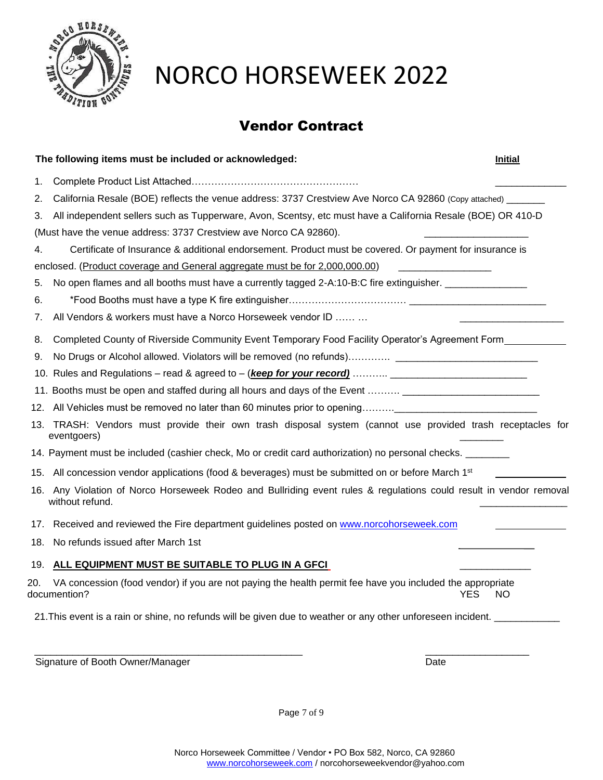

## Vendor Contract

|     | The following items must be included or acknowledged:                                                                                 | <b>Initial</b> |
|-----|---------------------------------------------------------------------------------------------------------------------------------------|----------------|
| 1.  |                                                                                                                                       |                |
| 2.  | California Resale (BOE) reflects the venue address: 3737 Crestview Ave Norco CA 92860 (Copy attached) ______                          |                |
| 3.  | All independent sellers such as Tupperware, Avon, Scentsy, etc must have a California Resale (BOE) OR 410-D                           |                |
|     | (Must have the venue address: 3737 Crestview ave Norco CA 92860).                                                                     |                |
| 4.  | Certificate of Insurance & additional endorsement. Product must be covered. Or payment for insurance is                               |                |
|     | enclosed. (Product coverage and General aggregate must be for 2,000,000.00)                                                           |                |
| 5.  | No open flames and all booths must have a currently tagged 2-A:10-B:C fire extinguisher. ________________                             |                |
| 6.  | *Food Booths must have a type K fire extinguisher…………………………… <u> </u>                                                                 |                |
| 7.  | All Vendors & workers must have a Norco Horseweek vendor ID                                                                           |                |
| 8.  | Completed County of Riverside Community Event Temporary Food Facility Operator's Agreement Form                                       |                |
| 9.  |                                                                                                                                       |                |
|     |                                                                                                                                       |                |
|     | 11. Booths must be open and staffed during all hours and days of the Event  _________________________                                 |                |
|     |                                                                                                                                       |                |
| 13. | TRASH: Vendors must provide their own trash disposal system (cannot use provided trash receptacles for<br>eventgoers)                 |                |
|     | 14. Payment must be included (cashier check, Mo or credit card authorization) no personal checks. ________                            |                |
|     | 15. All concession vendor applications (food & beverages) must be submitted on or before March 1 <sup>st</sup>                        |                |
|     | 16. Any Violation of Norco Horseweek Rodeo and Bullriding event rules & regulations could result in vendor removal<br>without refund. |                |
| 17. | Received and reviewed the Fire department guidelines posted on www.norcohorseweek.com                                                 |                |
| 18. | No refunds issued after March 1st                                                                                                     |                |
| 19. | ALL EQUIPMENT MUST BE SUITABLE TO PLUG IN A GFCI                                                                                      |                |
| 20. | VA concession (food vendor) if you are not paying the health permit fee have you included the appropriate<br>documention?<br>YES      | NO             |
|     | 21. This event is a rain or shine, no refunds will be given due to weather or any other unforeseen incident.                          |                |
|     | Signature of Booth Owner/Manager<br>Date                                                                                              |                |

Page 7 of 9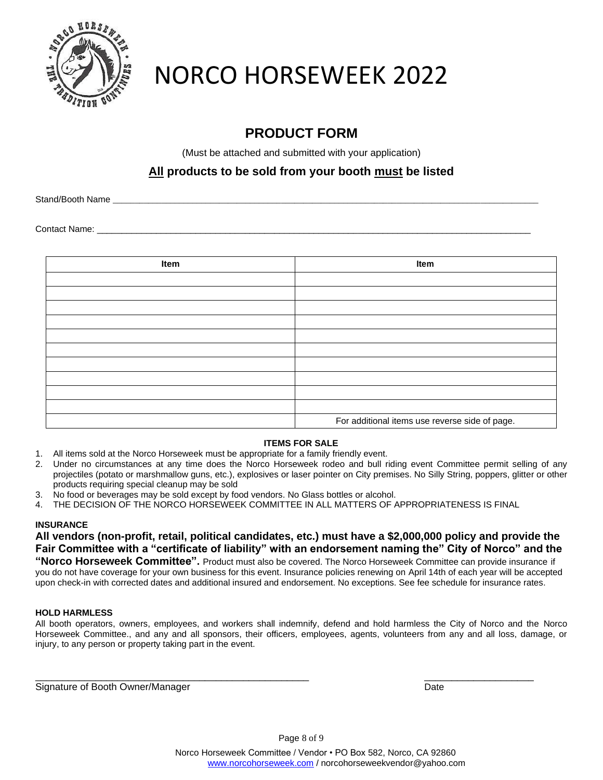

## **PRODUCT FORM**

(Must be attached and submitted with your application)

## **All products to be sold from your booth must be listed**

Stand/Booth Name

Contact Name:

| Item | Item                                           |
|------|------------------------------------------------|
|      |                                                |
|      |                                                |
|      |                                                |
|      |                                                |
|      |                                                |
|      |                                                |
|      |                                                |
|      |                                                |
|      |                                                |
|      |                                                |
|      | For additional items use reverse side of page. |

## **ITEMS FOR SALE**

- 1. All items sold at the Norco Horseweek must be appropriate for a family friendly event.
- 2. Under no circumstances at any time does the Norco Horseweek rodeo and bull riding event Committee permit selling of any projectiles (potato or marshmallow guns, etc.), explosives or laser pointer on City premises. No Silly String, poppers, glitter or other products requiring special cleanup may be sold
- 3. No food or beverages may be sold except by food vendors. No Glass bottles or alcohol.
- 4. THE DECISION OF THE NORCO HORSEWEEK COMMITTEE IN ALL MATTERS OF APPROPRIATENESS IS FINAL

## **INSURANCE**

**All vendors (non-profit, retail, political candidates, etc.) must have a \$2,000,000 policy and provide the Fair Committee with a "certificate of liability" with an endorsement naming the" City of Norco" and the** 

**"Norco Horseweek Committee".** Product must also be covered. The Norco Horseweek Committee can provide insurance if you do not have coverage for your own business for this event. Insurance policies renewing on April 14th of each year will be accepted upon check-in with corrected dates and additional insured and endorsement. No exceptions. See fee schedule for insurance rates.

## **HOLD HARMLESS**

All booth operators, owners, employees, and workers shall indemnify, defend and hold harmless the City of Norco and the Norco Horseweek Committee., and any and all sponsors, their officers, employees, agents, volunteers from any and all loss, damage, or injury, to any person or property taking part in the event.

\_\_\_\_\_\_\_\_\_\_\_\_\_\_\_\_\_\_\_\_\_\_\_\_\_\_\_\_\_\_\_\_\_\_\_\_\_\_\_\_\_\_\_\_\_\_\_\_\_\_ \_\_\_\_\_\_\_\_\_\_\_\_\_\_\_\_\_\_\_\_

Signature of Booth Owner/Manager Date Date Communication of Booth Owner/Manager Date

Page 8 of 9

Norco Horseweek Committee / Vendor • PO Box 582, Norco, CA 92860 [www.norcohorseweek.com](http://www.norcohorseweek.com/) / norcohorseweekvendor@yahoo.com